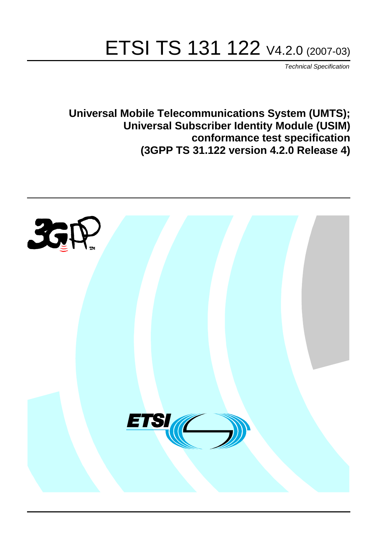# ETSI TS 131 122 V4.2.0 (2007-03)

Technical Specification

**Universal Mobile Telecommunications System (UMTS); Universal Subscriber Identity Module (USIM) conformance test specification (3GPP TS 31.122 version 4.2.0 Release 4)**

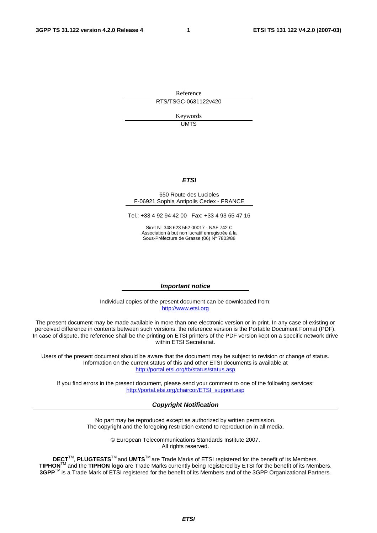Reference RTS/TSGC-0631122v420

> Keywords UMTS

#### **ETSI**

#### 650 Route des Lucioles F-06921 Sophia Antipolis Cedex - FRANCE

Tel.: +33 4 92 94 42 00 Fax: +33 4 93 65 47 16

Siret N° 348 623 562 00017 - NAF 742 C Association à but non lucratif enregistrée à la Sous-Préfecture de Grasse (06) N° 7803/88

#### **Important notice**

Individual copies of the present document can be downloaded from: [http://www.etsi.org](http://www.etsi.org/)

The present document may be made available in more than one electronic version or in print. In any case of existing or perceived difference in contents between such versions, the reference version is the Portable Document Format (PDF). In case of dispute, the reference shall be the printing on ETSI printers of the PDF version kept on a specific network drive within ETSI Secretariat.

Users of the present document should be aware that the document may be subject to revision or change of status. Information on the current status of this and other ETSI documents is available at <http://portal.etsi.org/tb/status/status.asp>

If you find errors in the present document, please send your comment to one of the following services: [http://portal.etsi.org/chaircor/ETSI\\_support.asp](http://portal.etsi.org/chaircor/ETSI_support.asp)

#### **Copyright Notification**

No part may be reproduced except as authorized by written permission. The copyright and the foregoing restriction extend to reproduction in all media.

> © European Telecommunications Standards Institute 2007. All rights reserved.

**DECT**TM, **PLUGTESTS**TM and **UMTS**TM are Trade Marks of ETSI registered for the benefit of its Members. **TIPHON**TM and the **TIPHON logo** are Trade Marks currently being registered by ETSI for the benefit of its Members. **3GPP**TM is a Trade Mark of ETSI registered for the benefit of its Members and of the 3GPP Organizational Partners.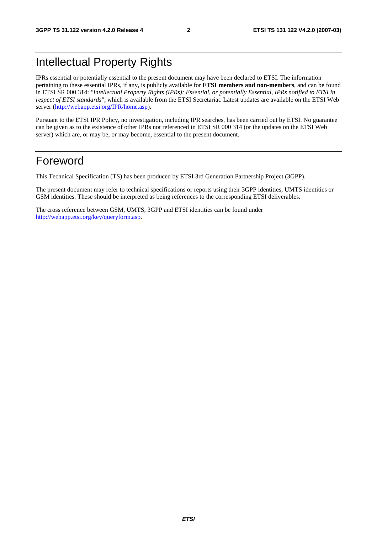### Intellectual Property Rights

IPRs essential or potentially essential to the present document may have been declared to ETSI. The information pertaining to these essential IPRs, if any, is publicly available for **ETSI members and non-members**, and can be found in ETSI SR 000 314: *"Intellectual Property Rights (IPRs); Essential, or potentially Essential, IPRs notified to ETSI in respect of ETSI standards"*, which is available from the ETSI Secretariat. Latest updates are available on the ETSI Web server ([http://webapp.etsi.org/IPR/home.asp\)](http://webapp.etsi.org/IPR/home.asp).

Pursuant to the ETSI IPR Policy, no investigation, including IPR searches, has been carried out by ETSI. No guarantee can be given as to the existence of other IPRs not referenced in ETSI SR 000 314 (or the updates on the ETSI Web server) which are, or may be, or may become, essential to the present document.

#### Foreword

This Technical Specification (TS) has been produced by ETSI 3rd Generation Partnership Project (3GPP).

The present document may refer to technical specifications or reports using their 3GPP identities, UMTS identities or GSM identities. These should be interpreted as being references to the corresponding ETSI deliverables.

The cross reference between GSM, UMTS, 3GPP and ETSI identities can be found under [http://webapp.etsi.org/key/queryform.asp.](http://webapp.etsi.org/key/queryform.asp)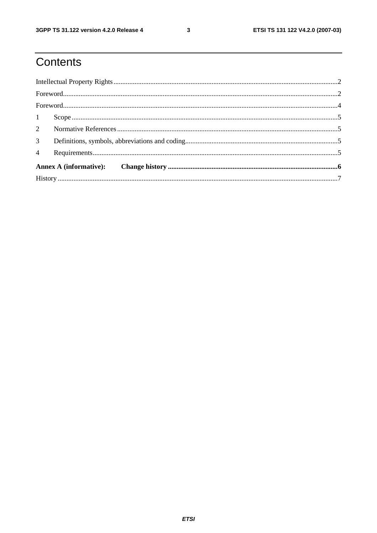# Contents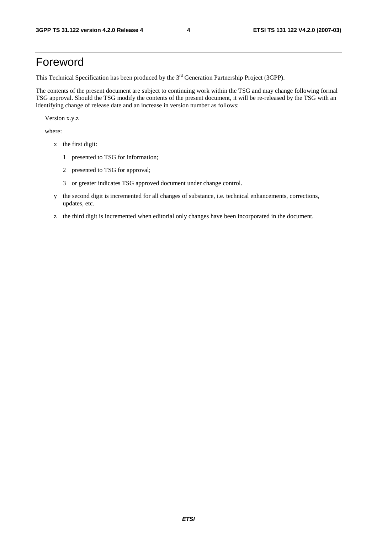### Foreword

This Technical Specification has been produced by the 3<sup>rd</sup> Generation Partnership Project (3GPP).

The contents of the present document are subject to continuing work within the TSG and may change following formal TSG approval. Should the TSG modify the contents of the present document, it will be re-released by the TSG with an identifying change of release date and an increase in version number as follows:

Version x.y.z

where:

- x the first digit:
	- 1 presented to TSG for information;
	- 2 presented to TSG for approval;
	- 3 or greater indicates TSG approved document under change control.
- y the second digit is incremented for all changes of substance, i.e. technical enhancements, corrections, updates, etc.
- z the third digit is incremented when editorial only changes have been incorporated in the document.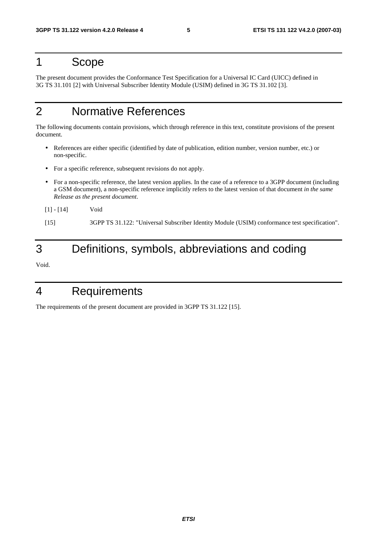#### 1 Scope

The present document provides the Conformance Test Specification for a Universal IC Card (UICC) defined in 3G TS 31.101 [2] with Universal Subscriber Identity Module (USIM) defined in 3G TS 31.102 [3].

## 2 Normative References

The following documents contain provisions, which through reference in this text, constitute provisions of the present document.

- References are either specific (identified by date of publication, edition number, version number, etc.) or non-specific.
- For a specific reference, subsequent revisions do not apply.
- For a non-specific reference, the latest version applies. In the case of a reference to a 3GPP document (including a GSM document), a non-specific reference implicitly refers to the latest version of that document *in the same Release as the present document*.
- [1] [14] Void

[15] 3GPP TS 31.122: "Universal Subscriber Identity Module (USIM) conformance test specification".

### 3 Definitions, symbols, abbreviations and coding

Void.

### 4 Requirements

The requirements of the present document are provided in 3GPP TS 31.122 [15].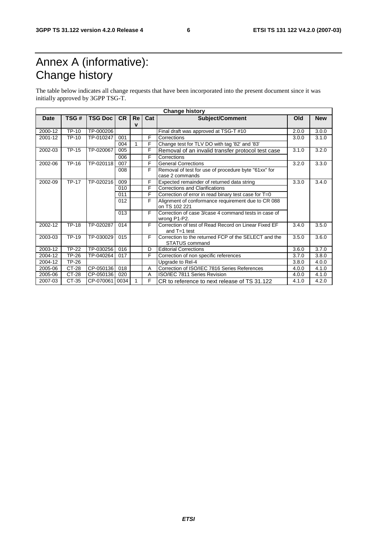# Annex A (informative): Change history

The table below indicates all change requests that have been incorporated into the present document since it was initially approved by 3GPP TSG-T.

| <b>Change history</b> |                     |                |           |              |     |                                                                        |       |            |
|-----------------------|---------------------|----------------|-----------|--------------|-----|------------------------------------------------------------------------|-------|------------|
| <b>Date</b>           | TSG#                | <b>TSG Doc</b> | <b>CR</b> | Re           | Cat | <b>Subject/Comment</b>                                                 | Old   | <b>New</b> |
|                       |                     |                |           | $\mathbf v$  |     |                                                                        |       |            |
| 2000-12               | $\overline{TP}$ -10 | TP-000206      |           |              |     | Final draft was approved at TSG-T #10                                  | 2.0.0 | 3.0.0      |
| 2001-12               | <b>TP-10</b>        | TP-010247      | 001       |              | F   | Corrections                                                            | 3.0.0 | 3.1.0      |
|                       |                     |                | 004       | $\mathbf{1}$ | F   | Change test for TLV DO with tag '82' and '83'                          |       |            |
| 2002-03               | <b>TP-15</b>        | TP-020067      | 005       |              | F   | Removal of an invalid transfer protocol test case                      | 3.1.0 | 3.2.0      |
|                       |                     |                | 006       |              | F.  | Corrections                                                            |       |            |
| 2002-06               | TP-16               | TP-020118      | 007       |              | F   | <b>General Corrections</b>                                             | 3.2.0 | 3.3.0      |
|                       |                     |                | 008       |              | F   | Removal of test for use of procedure byte "61xx" for                   |       |            |
|                       |                     |                |           |              |     | case 2 commands                                                        |       |            |
| 2002-09               | <b>TP-17</b>        | TP-020216      | 009       |              | F   | Expected remainder of returned data string                             | 3.3.0 | 3.4.0      |
|                       |                     |                | 010       |              | F   | <b>Corrections and Clarifications</b>                                  |       |            |
|                       |                     |                | 011       |              | F   | Correction of error in read binary test case for T=0                   |       |            |
|                       |                     |                | 012       |              | F   | Alignment of conformance requirement due to CR 088                     |       |            |
|                       |                     |                |           |              |     | on TS 102 221                                                          |       |            |
|                       |                     |                | 013       |              | F   | Correction of case 3/case 4 command tests in case of                   |       |            |
|                       |                     |                |           |              |     | wrong P1-P2.                                                           |       |            |
| 2002-12               | <b>TP-18</b>        | TP-020287      | 014       |              | F.  | Correction of test of Read Record on Linear Fixed EF<br>and $T=1$ test | 3.4.0 | 3.5.0      |
| 2003-03               | TP-19               | TP-030029      | 015       |              | F   | Correction to the returned FCP of the SELECT and the                   | 3.5.0 | 3.6.0      |
|                       |                     |                |           |              |     | <b>STATUS command</b>                                                  |       |            |
| 2003-12               | $\overline{TP}$ -22 | TP-030256      | 016       |              | D   | <b>Editorial Corrections</b>                                           | 3.6.0 | 3.7.0      |
| 2004-12               | TP-26               | TP-040264      | 017       |              | F   | Correction of non specific references                                  | 3.7.0 | 3.8.0      |
| 2004-12               | TP-26               |                |           |              |     | Upgrade to Rel-4                                                       | 3.8.0 | 4.0.0      |
| 2005-06               | CT-28               | CP-050136      | 018       |              | A   | Correction of ISO/IEC 7816 Series References                           | 4.0.0 | 4.1.0      |
| 2005-06               | CT-28               | CP-050136      | 020       |              | A   | ISO/IEC 7811 Series Revision                                           | 4.0.0 | 4.1.0      |
| 2007-03               | CT-35               | CP-070061      | 0034      |              | F   | CR to reference to next release of TS 31.122                           | 4.1.0 | 4.2.0      |